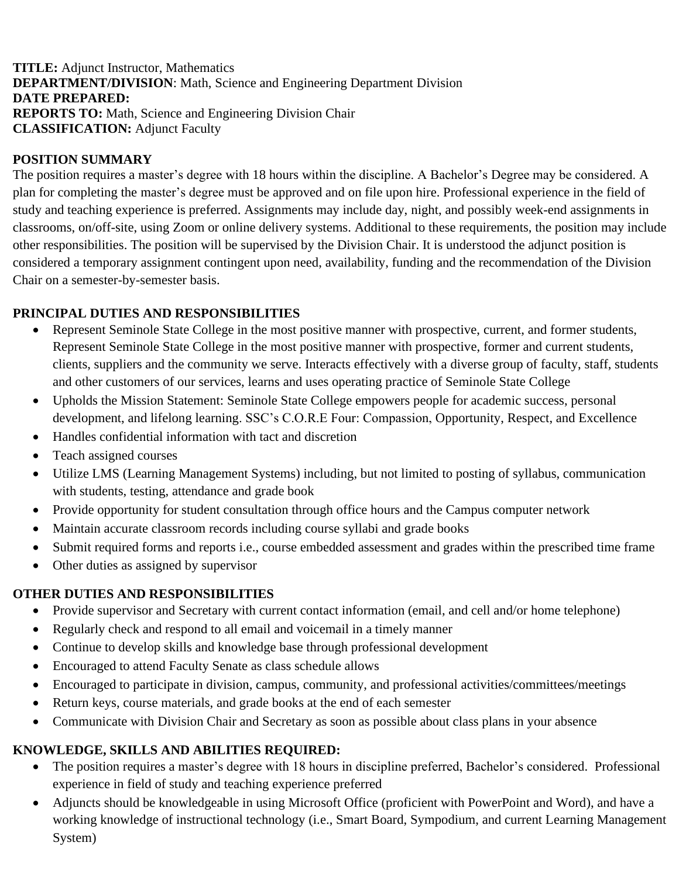**TITLE:** Adjunct Instructor, Mathematics **DEPARTMENT/DIVISION**: Math, Science and Engineering Department Division **DATE PREPARED: REPORTS TO:** Math, Science and Engineering Division Chair **CLASSIFICATION:** Adjunct Faculty

## **POSITION SUMMARY**

The position requires a master's degree with 18 hours within the discipline. A Bachelor's Degree may be considered. A plan for completing the master's degree must be approved and on file upon hire. Professional experience in the field of study and teaching experience is preferred. Assignments may include day, night, and possibly week-end assignments in classrooms, on/off-site, using Zoom or online delivery systems. Additional to these requirements, the position may include other responsibilities. The position will be supervised by the Division Chair. It is understood the adjunct position is considered a temporary assignment contingent upon need, availability, funding and the recommendation of the Division Chair on a semester-by-semester basis.

## **PRINCIPAL DUTIES AND RESPONSIBILITIES**

- Represent Seminole State College in the most positive manner with prospective, current, and former students, Represent Seminole State College in the most positive manner with prospective, former and current students, clients, suppliers and the community we serve. Interacts effectively with a diverse group of faculty, staff, students and other customers of our services, learns and uses operating practice of Seminole State College
- Upholds the Mission Statement: Seminole State College empowers people for academic success, personal development, and lifelong learning. SSC's C.O.R.E Four: Compassion, Opportunity, Respect, and Excellence
- Handles confidential information with tact and discretion
- Teach assigned courses
- Utilize LMS (Learning Management Systems) including, but not limited to posting of syllabus, communication with students, testing, attendance and grade book
- Provide opportunity for student consultation through office hours and the Campus computer network
- Maintain accurate classroom records including course syllabi and grade books
- Submit required forms and reports i.e., course embedded assessment and grades within the prescribed time frame
- Other duties as assigned by supervisor

## **OTHER DUTIES AND RESPONSIBILITIES**

- Provide supervisor and Secretary with current contact information (email, and cell and/or home telephone)
- Regularly check and respond to all email and voicemail in a timely manner
- Continue to develop skills and knowledge base through professional development
- Encouraged to attend Faculty Senate as class schedule allows
- Encouraged to participate in division, campus, community, and professional activities/committees/meetings
- Return keys, course materials, and grade books at the end of each semester
- Communicate with Division Chair and Secretary as soon as possible about class plans in your absence

## **KNOWLEDGE, SKILLS AND ABILITIES REQUIRED:**

- The position requires a master's degree with 18 hours in discipline preferred, Bachelor's considered. Professional experience in field of study and teaching experience preferred
- Adjuncts should be knowledgeable in using Microsoft Office (proficient with PowerPoint and Word), and have a working knowledge of instructional technology (i.e., Smart Board, Sympodium, and current Learning Management System)